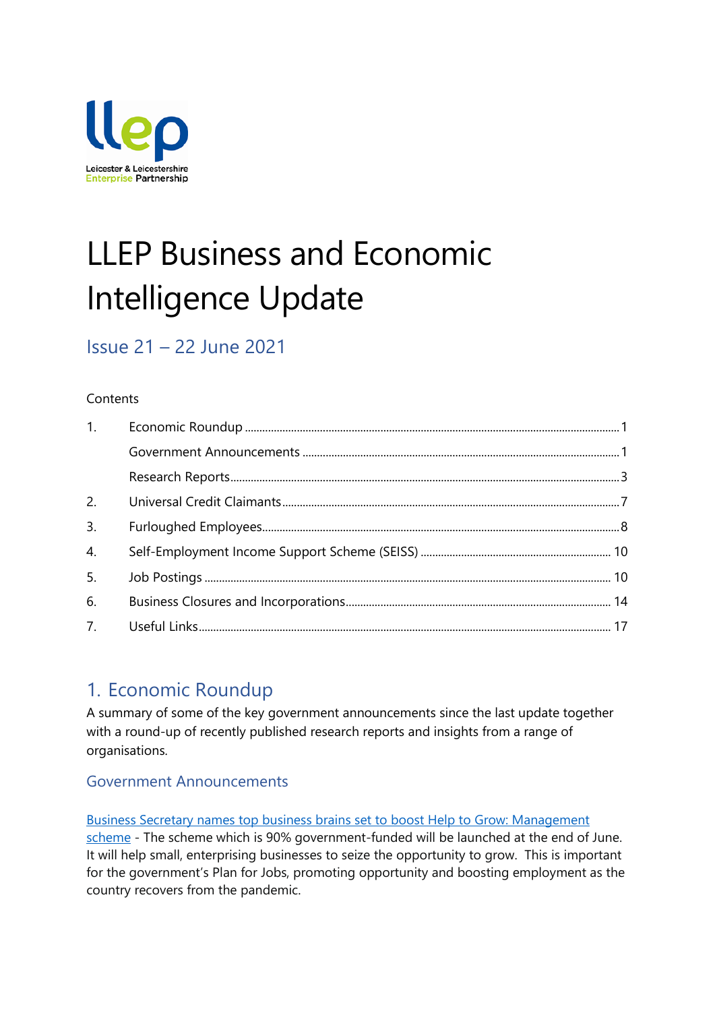

# LLEP Business and Economic Intelligence Update

# Issue 21 – 22 June 2021

### **Contents**

| 1.               |  |
|------------------|--|
|                  |  |
|                  |  |
| 2.               |  |
| 3.               |  |
| $\overline{4}$ . |  |
| 5.               |  |
| 6.               |  |
|                  |  |

# <span id="page-0-0"></span>1. Economic Roundup

A summary of some of the key government announcements since the last update together with a round-up of recently published research reports and insights from a range of organisations.

### <span id="page-0-1"></span>Government Announcements

[Business Secretary names top business brains set to boost Help to Grow: Management](https://www.gov.uk/government/news/business-secretary-names-top-business-brains-set-to-boost-help-to-grow-management-scheme)  [scheme](https://www.gov.uk/government/news/business-secretary-names-top-business-brains-set-to-boost-help-to-grow-management-scheme) - The scheme which is 90% government-funded will be launched at the end of June. It will help small, enterprising businesses to seize the opportunity to grow. This is important for the government's Plan for Jobs, promoting opportunity and boosting employment as the country recovers from the pandemic.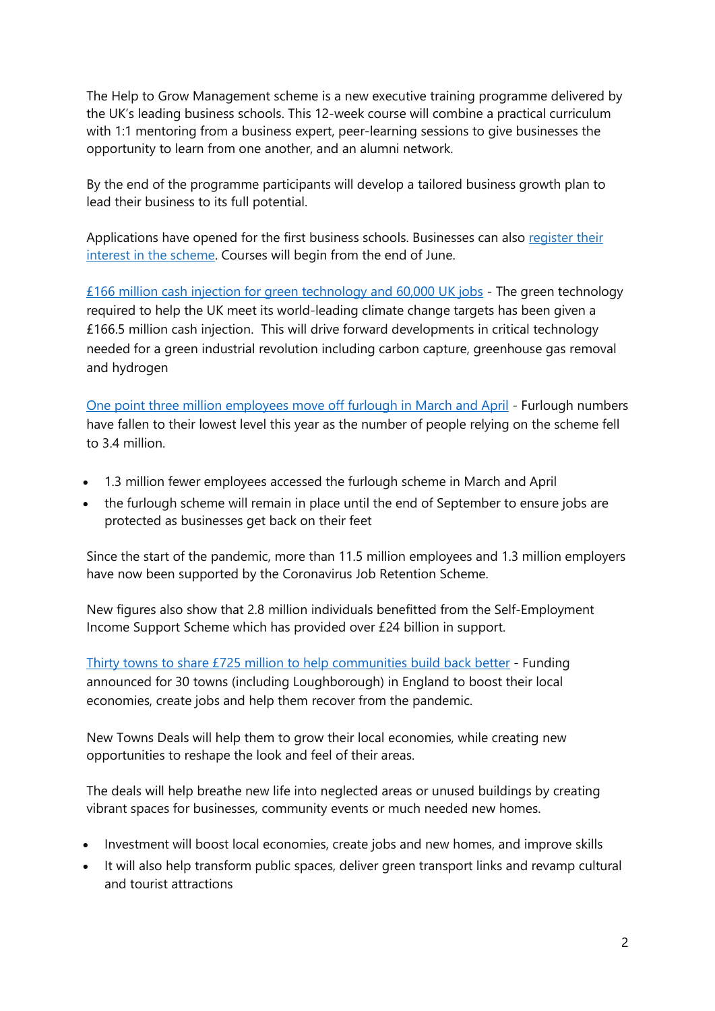The Help to Grow Management scheme is a new executive training programme delivered by the UK's leading business schools. This 12-week course will combine a practical curriculum with 1:1 mentoring from a business expert, peer-learning sessions to give businesses the opportunity to learn from one another, and an alumni network.

By the end of the programme participants will develop a tailored business growth plan to lead their business to its full potential.

Applications have opened for the first business schools. Businesses can also [register](https://helptogrow.campaign.gov.uk/) their interest in the [scheme.](https://helptogrow.campaign.gov.uk/) Courses will begin from the end of June.

[£166 million cash injection for green technology and 60,000 UK jobs](https://www.gov.uk/government/news/166-million-cash-injection-for-green-technology-and-60000-uk-jobs) - The green technology required to help the UK meet its world-leading climate change targets has been given a £166.5 million cash injection. This will drive forward developments in critical technology needed for a green industrial revolution including carbon capture, greenhouse gas removal and hydrogen

[One point three million employees move off furlough in March and April](https://www.gov.uk/government/news/plan-for-jobs-is-working-with-13-million-employees-moving-off-furlough-in-march-and-april) - Furlough numbers have fallen to their lowest level this year as the number of people relying on the scheme fell to 3.4 million.

- 1.3 million fewer employees accessed the furlough scheme in March and April
- the furlough scheme will remain in place until the end of September to ensure jobs are protected as businesses get back on their feet

Since the start of the pandemic, more than 11.5 million employees and 1.3 million employers have now been supported by the Coronavirus Job Retention Scheme.

New figures also show that 2.8 million individuals benefitted from the Self-Employment Income Support Scheme which has provided over £24 billion in support.

[Thirty towns to share £725 million to help communities build back better](https://www.gov.uk/government/news/thirty-towns-to-share-725-million-to-help-communities-build-back-better) - Funding announced for 30 towns (including Loughborough) in England to boost their local economies, create jobs and help them recover from the pandemic.

New Towns Deals will help them to grow their local economies, while creating new opportunities to reshape the look and feel of their areas.

The deals will help breathe new life into neglected areas or unused buildings by creating vibrant spaces for businesses, community events or much needed new homes.

- Investment will boost local economies, create jobs and new homes, and improve skills
- It will also help transform public spaces, deliver green transport links and revamp cultural and tourist attractions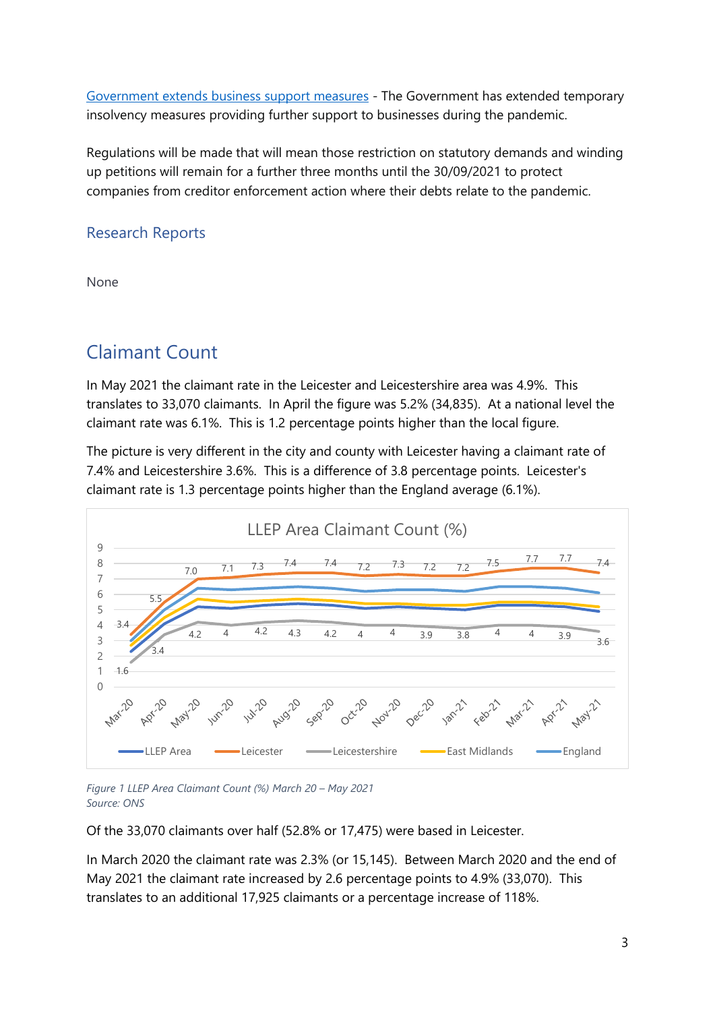[Government extends business support measures](https://www.gov.uk/government/news/government-extends-business-support-measures) - The Government has extended temporary insolvency measures providing further support to businesses during the pandemic.

Regulations will be made that will mean those restriction on statutory demands and winding up petitions will remain for a further three months until the 30/09/2021 to protect companies from creditor enforcement action where their debts relate to the pandemic.

### <span id="page-2-0"></span>Research Reports

None

### Claimant Count

In May 2021 the claimant rate in the Leicester and Leicestershire area was 4.9%. This translates to 33,070 claimants. In April the figure was 5.2% (34,835). At a national level the claimant rate was 6.1%. This is 1.2 percentage points higher than the local figure.

The picture is very different in the city and county with Leicester having a claimant rate of 7.4% and Leicestershire 3.6%. This is a difference of 3.8 percentage points. Leicester's claimant rate is 1.3 percentage points higher than the England average (6.1%).



*Figure 1 LLEP Area Claimant Count (%) March 20 – May 2021 Source: ONS*

Of the 33,070 claimants over half (52.8% or 17,475) were based in Leicester.

In March 2020 the claimant rate was 2.3% (or 15,145). Between March 2020 and the end of May 2021 the claimant rate increased by 2.6 percentage points to 4.9% (33,070). This translates to an additional 17,925 claimants or a percentage increase of 118%.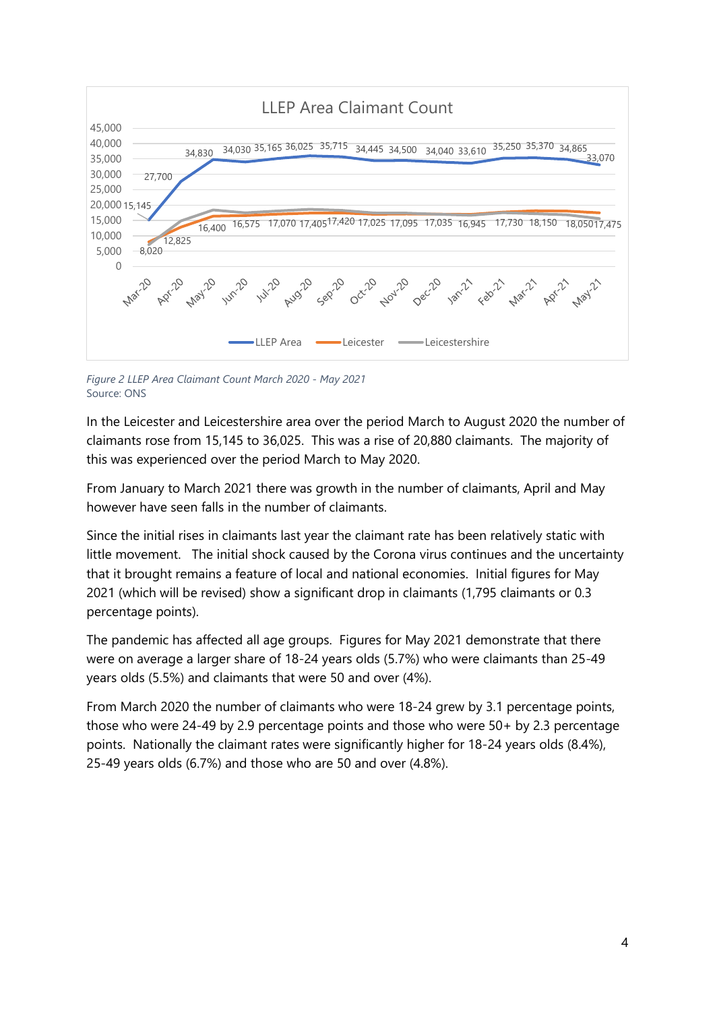

*Figure 2 LLEP Area Claimant Count March 2020 - May 2021* Source: ONS

In the Leicester and Leicestershire area over the period March to August 2020 the number of claimants rose from 15,145 to 36,025. This was a rise of 20,880 claimants. The majority of this was experienced over the period March to May 2020.

From January to March 2021 there was growth in the number of claimants, April and May however have seen falls in the number of claimants.

Since the initial rises in claimants last year the claimant rate has been relatively static with little movement. The initial shock caused by the Corona virus continues and the uncertainty that it brought remains a feature of local and national economies. Initial figures for May 2021 (which will be revised) show a significant drop in claimants (1,795 claimants or 0.3 percentage points).

The pandemic has affected all age groups. Figures for May 2021 demonstrate that there were on average a larger share of 18-24 years olds (5.7%) who were claimants than 25-49 years olds (5.5%) and claimants that were 50 and over (4%).

From March 2020 the number of claimants who were 18-24 grew by 3.1 percentage points, those who were 24-49 by 2.9 percentage points and those who were 50+ by 2.3 percentage points. Nationally the claimant rates were significantly higher for 18-24 years olds (8.4%), 25-49 years olds (6.7%) and those who are 50 and over (4.8%).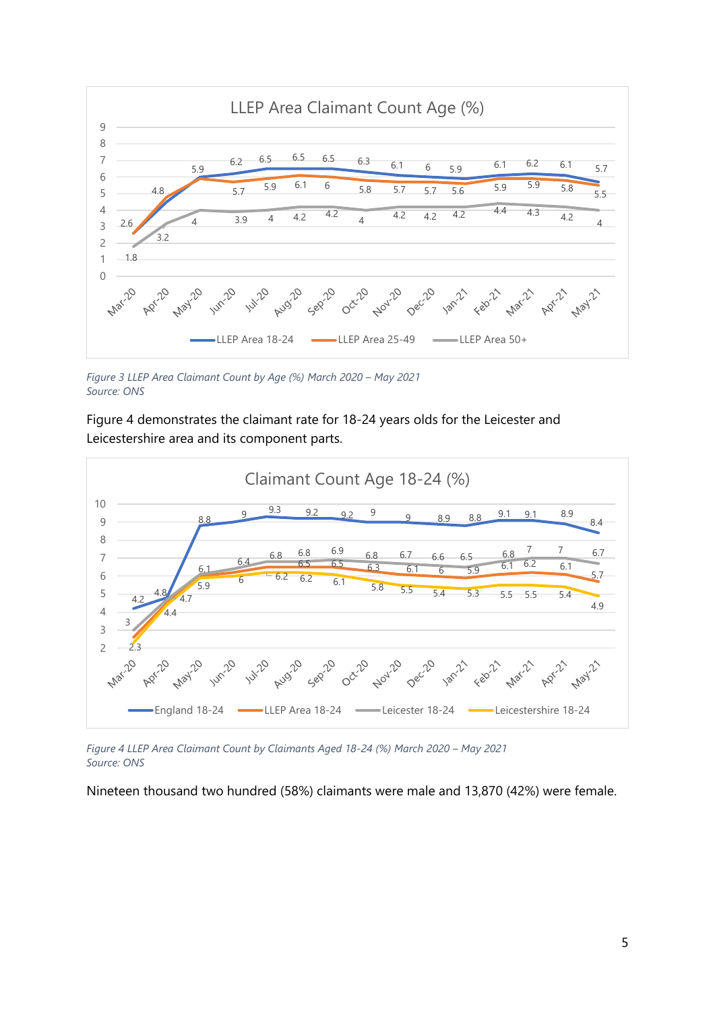

*Figure 3 LLEP Area Claimant Count by Age (%) March 2020 – May 2021 Source: ONS*

Figure 4 demonstrates the claimant rate for 18-24 years olds for the Leicester and Leicestershire area and its component parts.



*Figure 4 LLEP Area Claimant Count by Claimants Aged 18-24 (%) March 2020 – May 2021 Source: ONS*

Nineteen thousand two hundred (58%) claimants were male and 13,870 (42%) were female.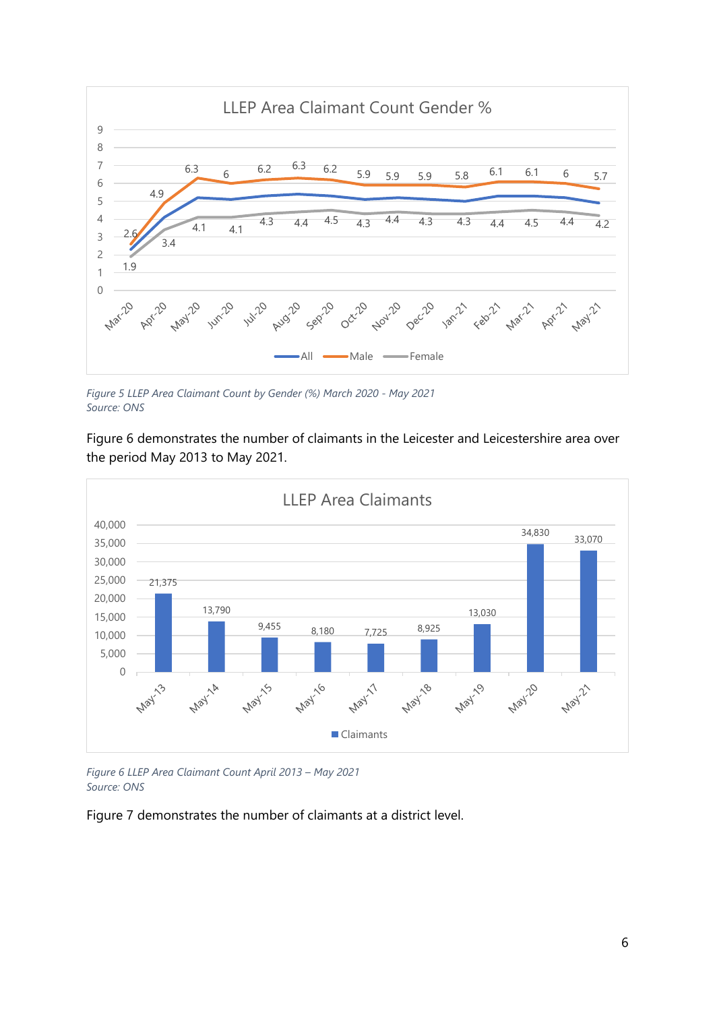

*Figure 5 LLEP Area Claimant Count by Gender (%) March 2020 - May 2021 Source: ONS*

Figure 6 demonstrates the number of claimants in the Leicester and Leicestershire area over the period May 2013 to May 2021.



*Figure 6 LLEP Area Claimant Count April 2013 – May 2021 Source: ONS*

Figure 7 demonstrates the number of claimants at a district level.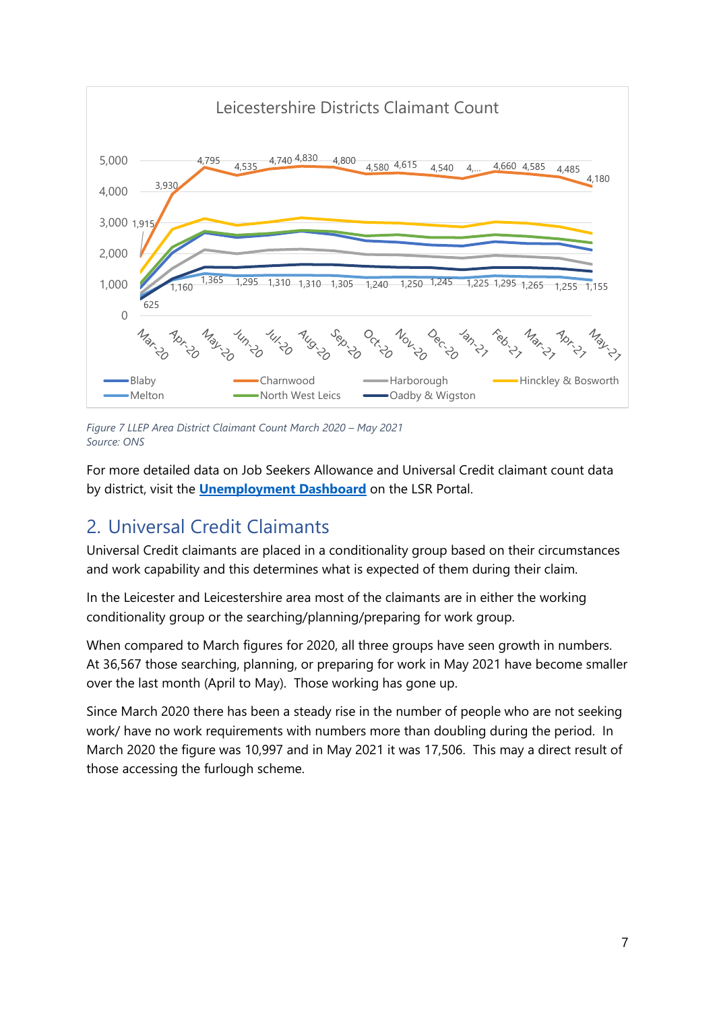

*Figure 7 LLEP Area District Claimant Count March 2020 – May 2021 Source: ONS*

For more detailed data on Job Seekers Allowance and Universal Credit claimant count data by district, visit the **[Unemployment Dashboard](https://public.tableau.com/profile/r.i.team.leicestershire.county.council#!/vizhome/UnemploymentDashboard_4/JSA)** on the LSR Portal.

# <span id="page-6-0"></span>2. Universal Credit Claimants

Universal Credit claimants are placed in a conditionality group based on their circumstances and work capability and this determines what is expected of them during their claim.

In the Leicester and Leicestershire area most of the claimants are in either the working conditionality group or the searching/planning/preparing for work group.

When compared to March figures for 2020, all three groups have seen growth in numbers. At 36,567 those searching, planning, or preparing for work in May 2021 have become smaller over the last month (April to May). Those working has gone up.

Since March 2020 there has been a steady rise in the number of people who are not seeking work/ have no work requirements with numbers more than doubling during the period. In March 2020 the figure was 10,997 and in May 2021 it was 17,506. This may a direct result of those accessing the furlough scheme.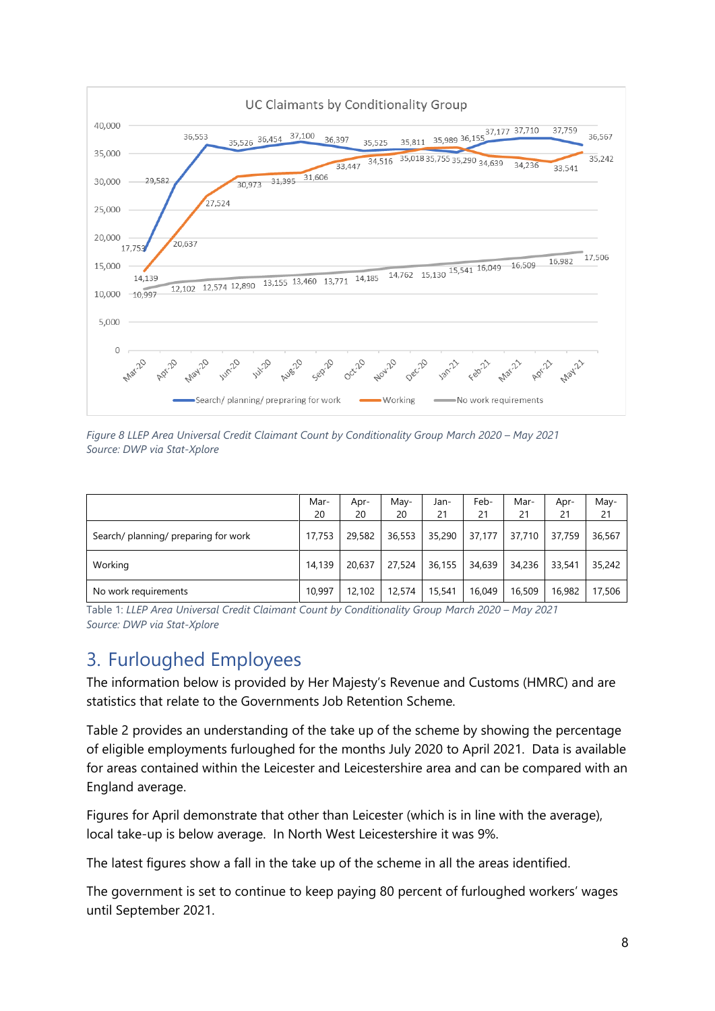

*Figure 8 LLEP Area Universal Credit Claimant Count by Conditionality Group March 2020 – May 2021 Source: DWP via Stat-Xplore* 

|                                      | Mar-<br>20 | Apr-<br>20 | May-<br>20 | Jan-<br>21 | Feb-<br>21 | Mar-<br>21 | Apr-<br>21 | May-<br>21 |
|--------------------------------------|------------|------------|------------|------------|------------|------------|------------|------------|
| Search/ planning/ preparing for work | 17,753     | 29,582     | 36,553     | 35,290     | 37,177     | 37,710     | 37,759     | 36,567     |
| Working                              | 14,139     | 20.637     | 27,524     | 36,155     | 34,639     | 34,236     | 33,541     | 35,242     |
| No work requirements                 | 10,997     | 12,102     | 12,574     | 15,541     | 16,049     | 16,509     | 16,982     | 17,506     |

Table 1: *LLEP Area Universal Credit Claimant Count by Conditionality Group March 2020 – May 2021 Source: DWP via Stat-Xplore* 

# <span id="page-7-0"></span>3. Furloughed Employees

The information below is provided by Her Majesty's Revenue and Customs (HMRC) and are statistics that relate to the Governments Job Retention Scheme.

Table 2 provides an understanding of the take up of the scheme by showing the percentage of eligible employments furloughed for the months July 2020 to April 2021. Data is available for areas contained within the Leicester and Leicestershire area and can be compared with an England average.

Figures for April demonstrate that other than Leicester (which is in line with the average), local take-up is below average. In North West Leicestershire it was 9%.

The latest figures show a fall in the take up of the scheme in all the areas identified.

The government is set to continue to keep paying 80 percent of furloughed workers' wages until September 2021.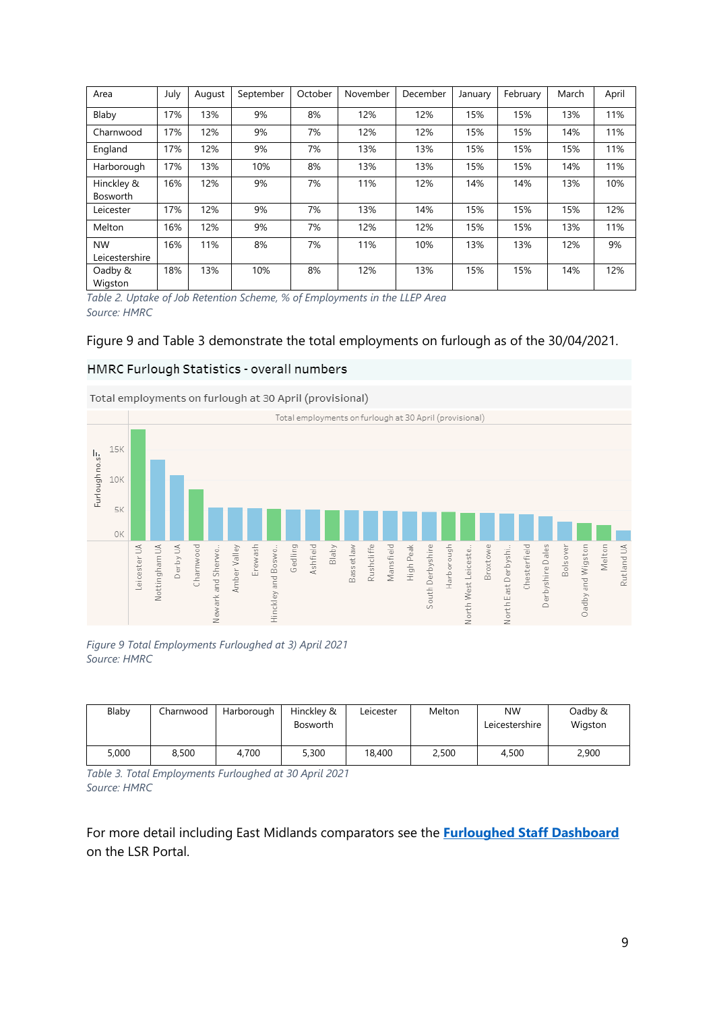| Area                        | July | August | September | October | November | December | January | February | March | April |
|-----------------------------|------|--------|-----------|---------|----------|----------|---------|----------|-------|-------|
| Blaby                       | 17%  | 13%    | 9%        | 8%      | 12%      | 12%      | 15%     | 15%      | 13%   | 11%   |
| Charnwood                   | 17%  | 12%    | 9%        | 7%      | 12%      | 12%      | 15%     | 15%      | 14%   | 11%   |
| England                     | 17%  | 12%    | 9%        | 7%      | 13%      | 13%      | 15%     | 15%      | 15%   | 11%   |
| Harborough                  | 17%  | 13%    | 10%       | 8%      | 13%      | 13%      | 15%     | 15%      | 14%   | 11%   |
| Hinckley &<br>Bosworth      | 16%  | 12%    | 9%        | 7%      | 11%      | 12%      | 14%     | 14%      | 13%   | 10%   |
| Leicester                   | 17%  | 12%    | 9%        | 7%      | 13%      | 14%      | 15%     | 15%      | 15%   | 12%   |
| Melton                      | 16%  | 12%    | 9%        | 7%      | 12%      | 12%      | 15%     | 15%      | 13%   | 11%   |
| <b>NW</b><br>Leicestershire | 16%  | 11%    | 8%        | 7%      | 11%      | 10%      | 13%     | 13%      | 12%   | 9%    |
| Oadby &<br>Wigston          | 18%  | 13%    | 10%       | 8%      | 12%      | 13%      | 15%     | 15%      | 14%   | 12%   |

*Table 2. Uptake of Job Retention Scheme, % of Employments in the LLEP Area Source: HMRC*

#### Figure 9 and Table 3 demonstrate the total employments on furlough as of the 30/04/2021.

#### HMRC Furlough Statistics - overall numbers



Total employments on furlough at 30 April (provisional)

*Figure 9 Total Employments Furloughed at 3) April 2021 Source: HMRC*

| Blaby | Charnwood | Harborough | Hinckley &<br><b>Bosworth</b> | Leicester | Melton | <b>NW</b><br>Leicestershire | Oadby &<br>Wigston |
|-------|-----------|------------|-------------------------------|-----------|--------|-----------------------------|--------------------|
| 5,000 | 8,500     | 4.700      | 5,300                         | 18,400    | 2,500  | 4,500                       | 2,900              |

*Table 3. Total Employments Furloughed at 30 April 2021 Source: HMRC*

For more detail including East Midlands comparators see the **[Furloughed Staff Dashboard](https://public.tableau.com/profile/r.i.team.leicestershire.county.council#!/vizhome/Covid-19Furloughedstaff/Furloughedstaffdata)** on the LSR Portal.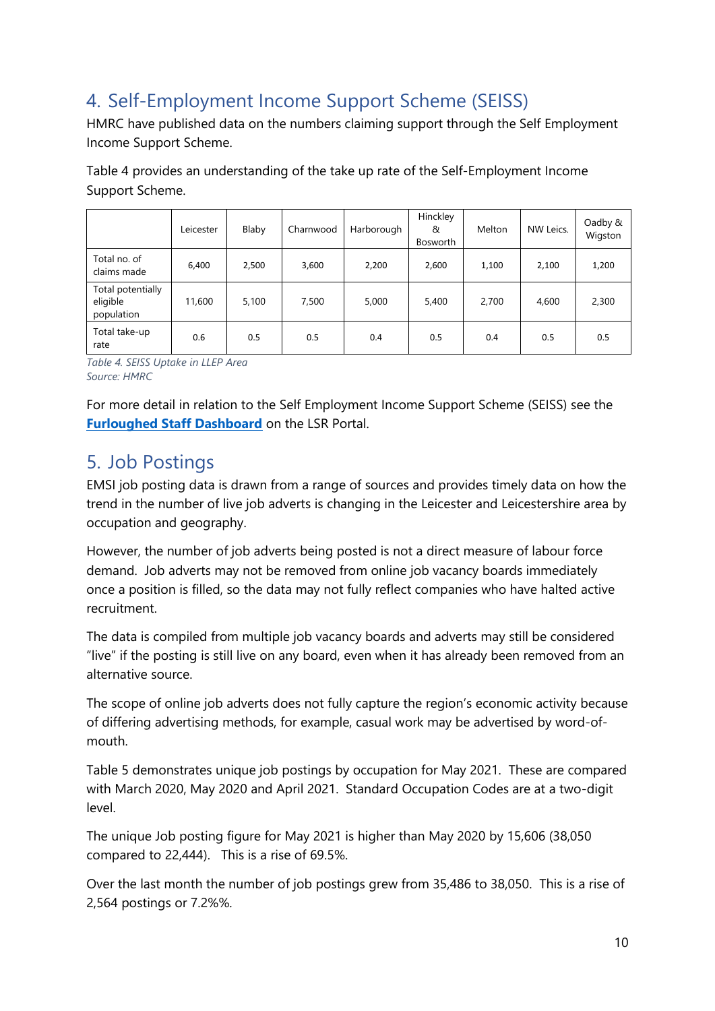# <span id="page-9-0"></span>4. Self-Employment Income Support Scheme (SEISS)

HMRC have published data on the numbers claiming support through the Self Employment Income Support Scheme.

Table 4 provides an understanding of the take up rate of the Self-Employment Income Support Scheme.

|                                             | Leicester | Blaby | Charnwood | Harborough | Hinckley<br>&<br>Bosworth | Melton | NW Leics. | Oadby &<br>Wigston |
|---------------------------------------------|-----------|-------|-----------|------------|---------------------------|--------|-----------|--------------------|
| Total no. of<br>claims made                 | 6,400     | 2,500 | 3,600     | 2,200      | 2,600                     | 1,100  | 2,100     | 1,200              |
| Total potentially<br>eligible<br>population | 11,600    | 5,100 | 7,500     | 5,000      | 5,400                     | 2,700  | 4,600     | 2,300              |
| Total take-up<br>rate                       | 0.6       | 0.5   | 0.5       | 0.4        | 0.5                       | 0.4    | 0.5       | 0.5                |

*Table 4. SEISS Uptake in LLEP Area Source: HMRC*

For more detail in relation to the Self Employment Income Support Scheme (SEISS) see the **[Furloughed Staff Dashboard](https://public.tableau.com/profile/r.i.team.leicestershire.county.council#!/vizhome/Covid-19Furloughedstaff/Furloughedstaffdata)** on the LSR Portal.

# <span id="page-9-1"></span>5. Job Postings

EMSI job posting data is drawn from a range of sources and provides timely data on how the trend in the number of live job adverts is changing in the Leicester and Leicestershire area by occupation and geography.

However, the number of job adverts being posted is not a direct measure of labour force demand. Job adverts may not be removed from online job vacancy boards immediately once a position is filled, so the data may not fully reflect companies who have halted active recruitment.

The data is compiled from multiple job vacancy boards and adverts may still be considered "live" if the posting is still live on any board, even when it has already been removed from an alternative source.

The scope of online job adverts does not fully capture the region's economic activity because of differing advertising methods, for example, casual work may be advertised by word-ofmouth.

Table 5 demonstrates unique job postings by occupation for May 2021. These are compared with March 2020, May 2020 and April 2021. Standard Occupation Codes are at a two-digit level.

The unique Job posting figure for May 2021 is higher than May 2020 by 15,606 (38,050 compared to 22,444). This is a rise of 69.5%.

Over the last month the number of job postings grew from 35,486 to 38,050. This is a rise of 2,564 postings or 7.2%%.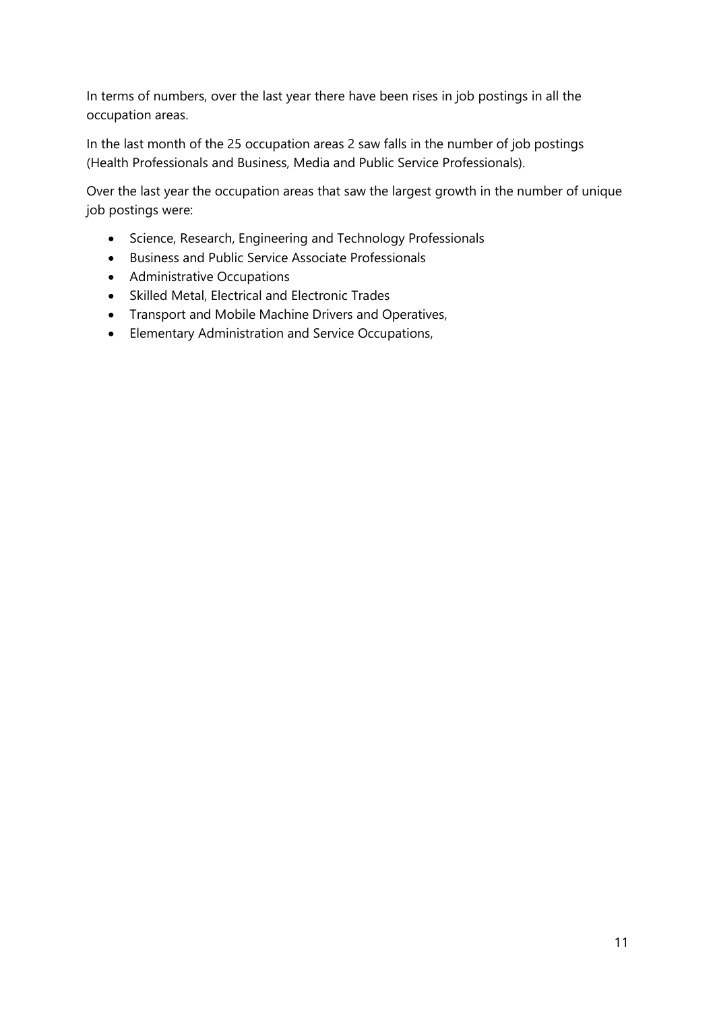In terms of numbers, over the last year there have been rises in job postings in all the occupation areas.

In the last month of the 25 occupation areas 2 saw falls in the number of job postings (Health Professionals and Business, Media and Public Service Professionals).

Over the last year the occupation areas that saw the largest growth in the number of unique job postings were:

- Science, Research, Engineering and Technology Professionals
- Business and Public Service Associate Professionals
- Administrative Occupations
- Skilled Metal, Electrical and Electronic Trades
- Transport and Mobile Machine Drivers and Operatives,
- Elementary Administration and Service Occupations,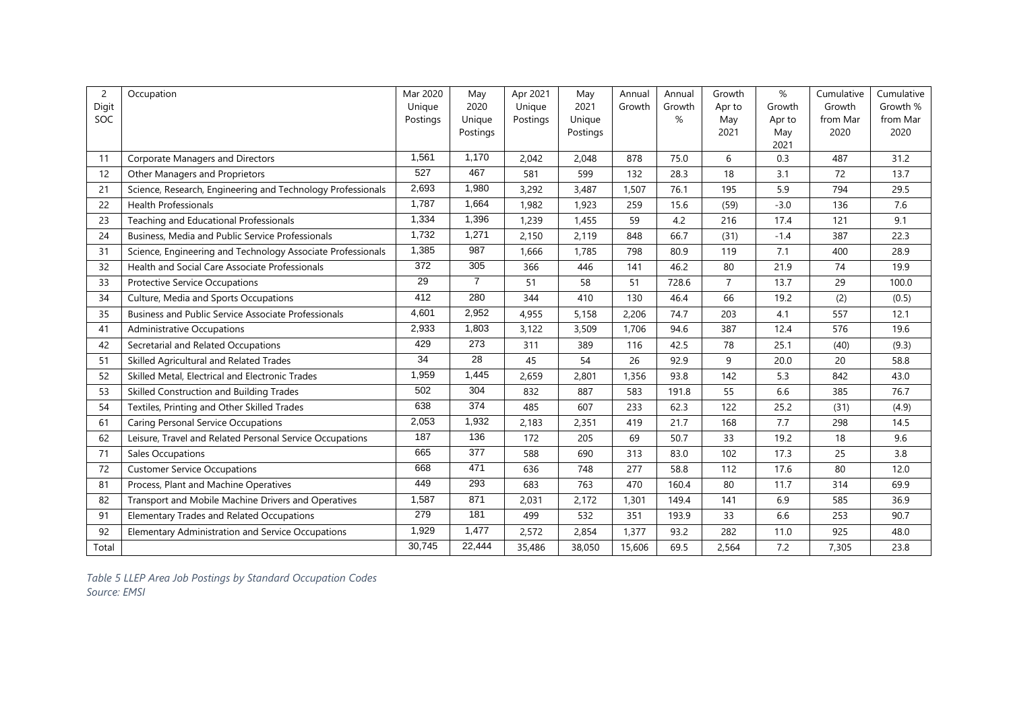| $\overline{2}$ | Occupation                                                  | Mar 2020 | May            | Apr 2021 | May      | Annual | Annual | Growth         | %           | Cumulative | Cumulative |
|----------------|-------------------------------------------------------------|----------|----------------|----------|----------|--------|--------|----------------|-------------|------------|------------|
| Digit          |                                                             | Unique   | 2020           | Unique   | 2021     | Growth | Growth | Apr to         | Growth      | Growth     | Growth %   |
| SOC            |                                                             | Postings | Unique         | Postings | Unique   |        | %      | May            | Apr to      | from Mar   | from Mar   |
|                |                                                             |          | Postings       |          | Postings |        |        | 2021           | May<br>2021 | 2020       | 2020       |
| 11             | Corporate Managers and Directors                            | 1,561    | 1,170          | 2.042    | 2.048    | 878    | 75.0   | 6              | 0.3         | 487        | 31.2       |
| 12             | Other Managers and Proprietors                              | 527      | 467            | 581      | 599      | 132    | 28.3   | 18             | 3.1         | 72         | 13.7       |
| 21             | Science, Research, Engineering and Technology Professionals | 2,693    | 1,980          | 3,292    | 3,487    | 1,507  | 76.1   | 195            | 5.9         | 794        | 29.5       |
| 22             | <b>Health Professionals</b>                                 | 1,787    | 1,664          | 1,982    | 1,923    | 259    | 15.6   | (59)           | $-3.0$      | 136        | 7.6        |
| 23             | Teaching and Educational Professionals                      | 1,334    | 1,396          | 1,239    | 1,455    | 59     | 4.2    | 216            | 17.4        | 121        | 9.1        |
| 24             | Business, Media and Public Service Professionals            | 1,732    | 1,271          | 2,150    | 2,119    | 848    | 66.7   | (31)           | $-1.4$      | 387        | 22.3       |
| 31             | Science, Engineering and Technology Associate Professionals | 1,385    | 987            | 1,666    | 1,785    | 798    | 80.9   | 119            | 7.1         | 400        | 28.9       |
| 32             | Health and Social Care Associate Professionals              | 372      | 305            | 366      | 446      | 141    | 46.2   | 80             | 21.9        | 74         | 19.9       |
| 33             | <b>Protective Service Occupations</b>                       | 29       | $\overline{7}$ | 51       | 58       | 51     | 728.6  | $\overline{7}$ | 13.7        | 29         | 100.0      |
| 34             | Culture, Media and Sports Occupations                       | 412      | 280            | 344      | 410      | 130    | 46.4   | 66             | 19.2        | (2)        | (0.5)      |
| 35             | <b>Business and Public Service Associate Professionals</b>  | 4,601    | 2,952          | 4,955    | 5,158    | 2,206  | 74.7   | 203            | 4.1         | 557        | 12.1       |
| 41             | <b>Administrative Occupations</b>                           | 2,933    | 1,803          | 3,122    | 3,509    | 1,706  | 94.6   | 387            | 12.4        | 576        | 19.6       |
| 42             | Secretarial and Related Occupations                         | 429      | 273            | 311      | 389      | 116    | 42.5   | 78             | 25.1        | (40)       | (9.3)      |
| 51             | Skilled Agricultural and Related Trades                     | 34       | 28             | 45       | 54       | 26     | 92.9   | 9              | 20.0        | 20         | 58.8       |
| 52             | Skilled Metal, Electrical and Electronic Trades             | 1,959    | 1,445          | 2,659    | 2,801    | 1,356  | 93.8   | 142            | 5.3         | 842        | 43.0       |
| 53             | Skilled Construction and Building Trades                    | 502      | 304            | 832      | 887      | 583    | 191.8  | 55             | 6.6         | 385        | 76.7       |
| 54             | Textiles, Printing and Other Skilled Trades                 | 638      | 374            | 485      | 607      | 233    | 62.3   | 122            | 25.2        | (31)       | (4.9)      |
| 61             | <b>Caring Personal Service Occupations</b>                  | 2,053    | 1,932          | 2,183    | 2,351    | 419    | 21.7   | 168            | 7.7         | 298        | 14.5       |
| 62             | Leisure, Travel and Related Personal Service Occupations    | 187      | 136            | 172      | 205      | 69     | 50.7   | 33             | 19.2        | 18         | 9.6        |
| 71             | Sales Occupations                                           | 665      | 377            | 588      | 690      | 313    | 83.0   | 102            | 17.3        | 25         | 3.8        |
| 72             | <b>Customer Service Occupations</b>                         | 668      | 471            | 636      | 748      | 277    | 58.8   | 112            | 17.6        | 80         | 12.0       |
| 81             | Process, Plant and Machine Operatives                       | 449      | 293            | 683      | 763      | 470    | 160.4  | 80             | 11.7        | 314        | 69.9       |
| 82             | Transport and Mobile Machine Drivers and Operatives         | 1,587    | 871            | 2,031    | 2,172    | 1,301  | 149.4  | 141            | 6.9         | 585        | 36.9       |
| 91             | Elementary Trades and Related Occupations                   | 279      | 181            | 499      | 532      | 351    | 193.9  | 33             | 6.6         | 253        | 90.7       |
| 92             | Elementary Administration and Service Occupations           | 1,929    | 1,477          | 2,572    | 2,854    | 1,377  | 93.2   | 282            | 11.0        | 925        | 48.0       |
| Total          |                                                             | 30.745   | 22,444         | 35,486   | 38,050   | 15,606 | 69.5   | 2,564          | 7.2         | 7,305      | 23.8       |

*Table 5 LLEP Area Job Postings by Standard Occupation Codes Source: EMSI*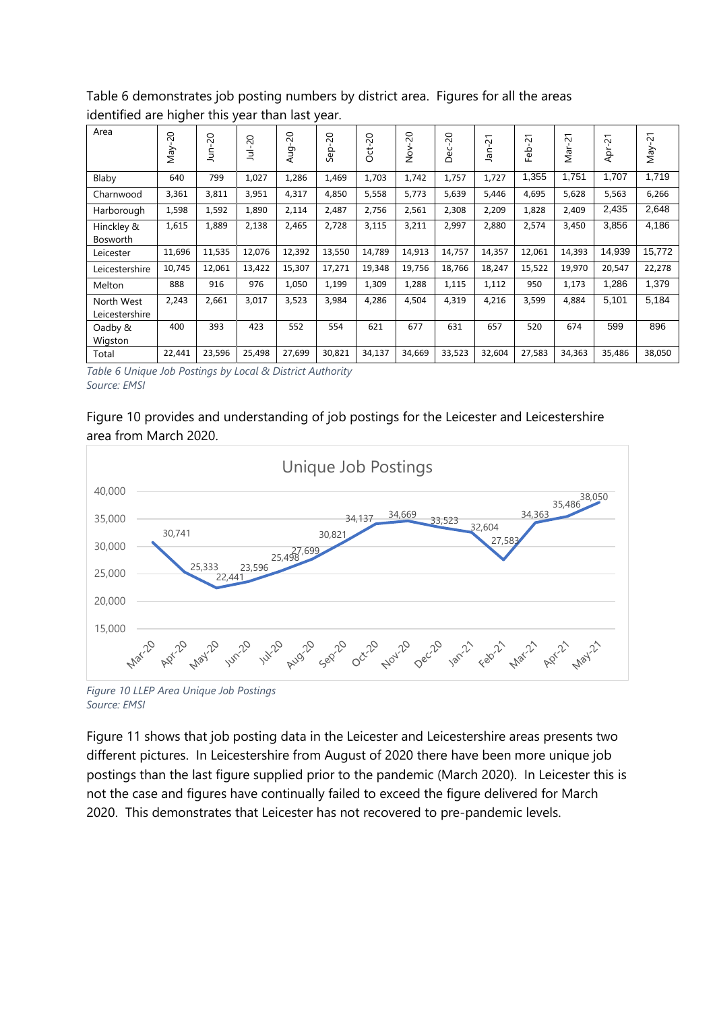Table 6 demonstrates job posting numbers by district area. Figures for all the areas identified are higher this year than last year. Area Jul-20 Jan-21 Feb-21

| Area                         | $\overline{0}$<br>Vay | $\overline{c}$<br>iur | $\Omega$<br>ョ | 50<br>Aug | $\Omega$<br>Sep | $-20$<br>ģ | $\overline{c}$<br>$\frac{5}{2}$ | 50<br>й<br>О | 21<br>Jan | $\overline{c}$<br><b>G</b> b | 21<br>var. | 21<br>ĀÞ | $\overline{\phantom{0}}$<br>$\sim$<br>VeW |
|------------------------------|-----------------------|-----------------------|---------------|-----------|-----------------|------------|---------------------------------|--------------|-----------|------------------------------|------------|----------|-------------------------------------------|
| Blaby                        | 640                   | 799                   | 1,027         | 1,286     | 1,469           | 1,703      | 1,742                           | 1,757        | 1,727     | 1,355                        | 1,751      | 1,707    | 1,719                                     |
| Charnwood                    | 3,361                 | 3,811                 | 3,951         | 4,317     | 4,850           | 5,558      | 5,773                           | 5,639        | 5,446     | 4,695                        | 5,628      | 5,563    | 6,266                                     |
| Harborough                   | 1,598                 | 1,592                 | 1,890         | 2,114     | 2,487           | 2,756      | 2,561                           | 2,308        | 2,209     | 1,828                        | 2,409      | 2,435    | 2,648                                     |
| Hinckley &<br>Bosworth       | 1,615                 | 1,889                 | 2,138         | 2,465     | 2,728           | 3,115      | 3,211                           | 2,997        | 2,880     | 2,574                        | 3,450      | 3,856    | 4,186                                     |
| Leicester                    | 11,696                | 11,535                | 12,076        | 12,392    | 13,550          | 14,789     | 14,913                          | 14,757       | 14,357    | 12,061                       | 14,393     | 14,939   | 15,772                                    |
| Leicestershire               | 10,745                | 12,061                | 13,422        | 15,307    | 17,271          | 19,348     | 19,756                          | 18,766       | 18,247    | 15,522                       | 19,970     | 20,547   | 22,278                                    |
| Melton                       | 888                   | 916                   | 976           | 1,050     | 1,199           | 1,309      | 1,288                           | 1,115        | 1,112     | 950                          | 1,173      | 1,286    | 1,379                                     |
| North West<br>Leicestershire | 2,243                 | 2,661                 | 3,017         | 3,523     | 3,984           | 4,286      | 4,504                           | 4,319        | 4,216     | 3,599                        | 4,884      | 5,101    | 5,184                                     |
| Oadby &<br>Wigston           | 400                   | 393                   | 423           | 552       | 554             | 621        | 677                             | 631          | 657       | 520                          | 674        | 599      | 896                                       |
| Total                        | 22,441                | 23,596                | 25,498        | 27,699    | 30,821          | 34,137     | 34,669                          | 33,523       | 32,604    | 27,583                       | 34,363     | 35,486   | 38,050                                    |

*Table 6 Unique Job Postings by Local & District Authority Source: EMSI*

### Figure 10 provides and understanding of job postings for the Leicester and Leicestershire area from March 2020.



*Figure 10 LLEP Area Unique Job Postings Source: EMSI*

Figure 11 shows that job posting data in the Leicester and Leicestershire areas presents two different pictures. In Leicestershire from August of 2020 there have been more unique job postings than the last figure supplied prior to the pandemic (March 2020). In Leicester this is not the case and figures have continually failed to exceed the figure delivered for March 2020. This demonstrates that Leicester has not recovered to pre-pandemic levels.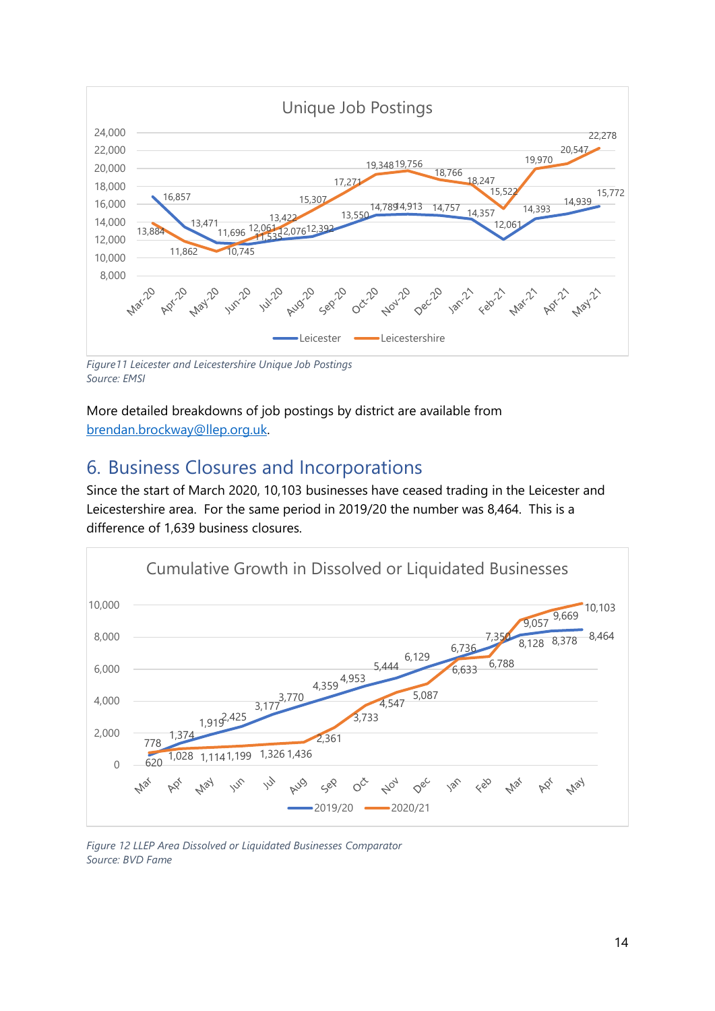

*Source: EMSI*

More detailed breakdowns of job postings by district are available from [brendan.brockway@llep.org.uk.](mailto:brendan.brockway@llep.org.uk)

# <span id="page-13-0"></span>6. Business Closures and Incorporations

Since the start of March 2020, 10,103 businesses have ceased trading in the Leicester and Leicestershire area. For the same period in 2019/20 the number was 8,464. This is a difference of 1,639 business closures.



*Figure 12 LLEP Area Dissolved or Liquidated Businesses Comparator Source: BVD Fame*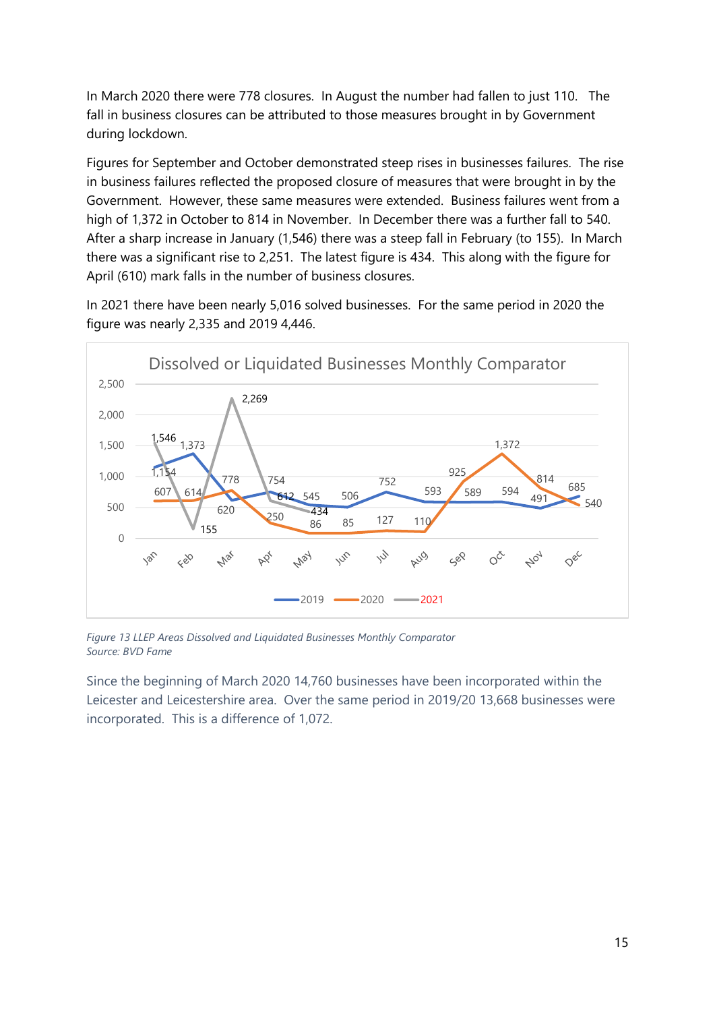In March 2020 there were 778 closures. In August the number had fallen to just 110. The fall in business closures can be attributed to those measures brought in by Government during lockdown.

Figures for September and October demonstrated steep rises in businesses failures. The rise in business failures reflected the proposed closure of measures that were brought in by the Government. However, these same measures were extended. Business failures went from a high of 1,372 in October to 814 in November. In December there was a further fall to 540. After a sharp increase in January (1,546) there was a steep fall in February (to 155). In March there was a significant rise to 2,251. The latest figure is 434. This along with the figure for April (610) mark falls in the number of business closures.

In 2021 there have been nearly 5,016 solved businesses. For the same period in 2020 the figure was nearly 2,335 and 2019 4,446.



*Figure 13 LLEP Areas Dissolved and Liquidated Businesses Monthly Comparator Source: BVD Fame*

Since the beginning of March 2020 14,760 businesses have been incorporated within the Leicester and Leicestershire area. Over the same period in 2019/20 13,668 businesses were incorporated. This is a difference of 1,072.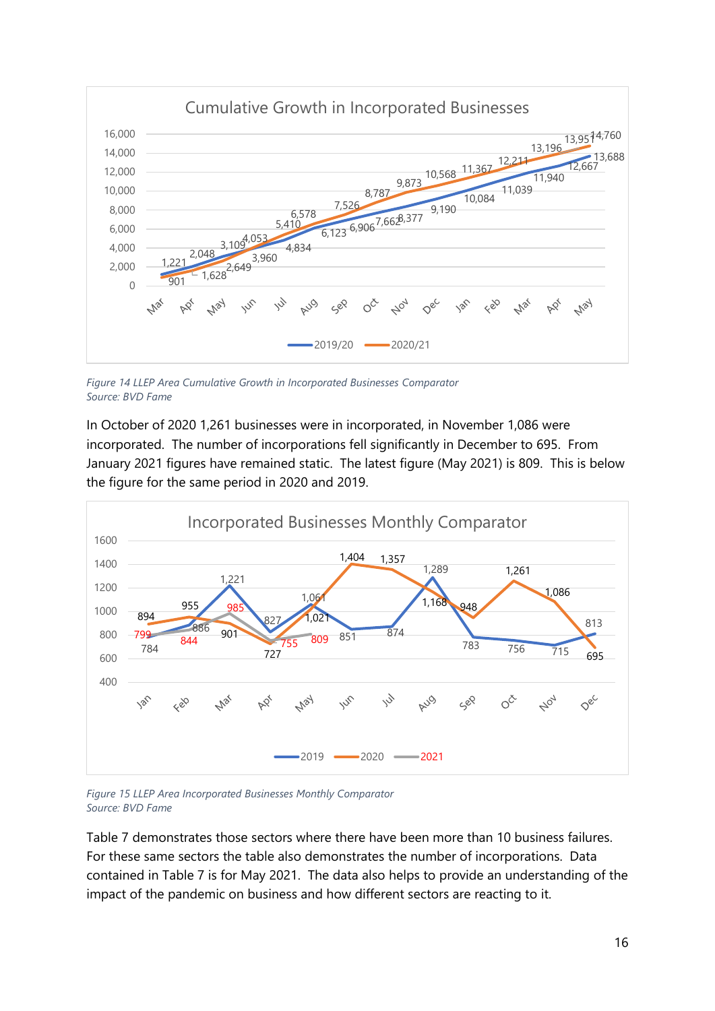

*Figure 14 LLEP Area Cumulative Growth in Incorporated Businesses Comparator Source: BVD Fame*

In October of 2020 1,261 businesses were in incorporated, in November 1,086 were incorporated. The number of incorporations fell significantly in December to 695. From January 2021 figures have remained static. The latest figure (May 2021) is 809. This is below the figure for the same period in 2020 and 2019.



*Figure 15 LLEP Area Incorporated Businesses Monthly Comparator Source: BVD Fame*

Table 7 demonstrates those sectors where there have been more than 10 business failures. For these same sectors the table also demonstrates the number of incorporations. Data contained in Table 7 is for May 2021. The data also helps to provide an understanding of the impact of the pandemic on business and how different sectors are reacting to it.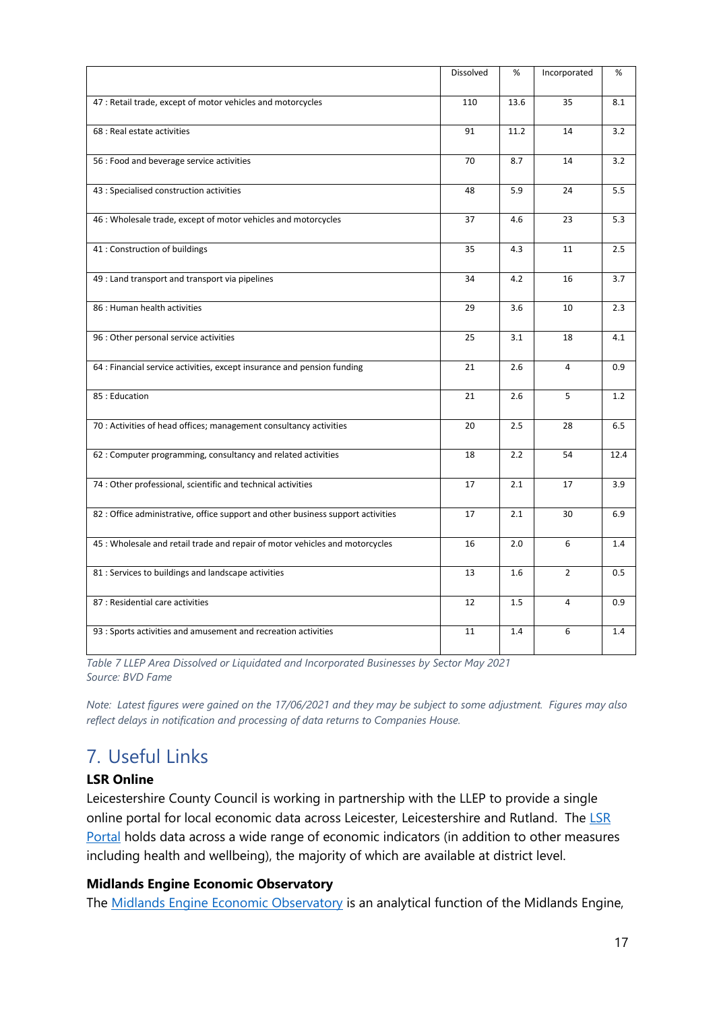|                                                                                  | Dissolved | %    | Incorporated   | %    |
|----------------------------------------------------------------------------------|-----------|------|----------------|------|
| 47 : Retail trade, except of motor vehicles and motorcycles                      | 110       | 13.6 | 35             | 8.1  |
| 68 : Real estate activities                                                      | 91        | 11.2 | 14             | 3.2  |
| 56 : Food and beverage service activities                                        | 70        | 8.7  | 14             | 3.2  |
| 43 : Specialised construction activities                                         | 48        | 5.9  | 24             | 5.5  |
| 46 : Wholesale trade, except of motor vehicles and motorcycles                   | 37        | 4.6  | 23             | 5.3  |
| 41 : Construction of buildings                                                   | 35        | 4.3  | 11             | 2.5  |
| 49 : Land transport and transport via pipelines                                  | 34        | 4.2  | 16             | 3.7  |
| 86 : Human health activities                                                     | 29        | 3.6  | 10             | 2.3  |
| 96 : Other personal service activities                                           | 25        | 3.1  | 18             | 4.1  |
| 64 : Financial service activities, except insurance and pension funding          | 21        | 2.6  | $\overline{4}$ | 0.9  |
| 85: Education                                                                    | 21        | 2.6  | 5              | 1.2  |
| 70 : Activities of head offices; management consultancy activities               | 20        | 2.5  | 28             | 6.5  |
| 62 : Computer programming, consultancy and related activities                    | 18        | 2.2  | 54             | 12.4 |
| 74 : Other professional, scientific and technical activities                     | 17        | 2.1  | 17             | 3.9  |
| 82 : Office administrative, office support and other business support activities | 17        | 2.1  | 30             | 6.9  |
| 45 : Wholesale and retail trade and repair of motor vehicles and motorcycles     | 16        | 2.0  | 6              | 1.4  |
| 81 : Services to buildings and landscape activities                              | 13        | 1.6  | $\overline{2}$ | 0.5  |
| 87 : Residential care activities                                                 | 12        | 1.5  | 4              | 0.9  |
| 93 : Sports activities and amusement and recreation activities                   | 11        | 1.4  | 6              | 1.4  |

*Table 7 LLEP Area Dissolved or Liquidated and Incorporated Businesses by Sector May 2021 Source: BVD Fame*

*Note: Latest figures were gained on the 17/06/2021 and they may be subject to some adjustment. Figures may also reflect delays in notification and processing of data returns to Companies House.*

# <span id="page-16-0"></span>7. Useful Links

### **LSR Online**

Leicestershire County Council is working in partnership with the LLEP to provide a single online portal for local economic data across Leicester, Leicestershire and Rutland. The [LSR](https://www.lsr-online.org/)  [Portal](https://www.lsr-online.org/) holds data across a wide range of economic indicators (in addition to other measures including health and wellbeing), the majority of which are available at district level.

### **Midlands Engine Economic Observatory**

The [Midlands Engine Economic Observatory](https://www.midlandsengine.org/observatory/) is an analytical function of the Midlands Engine,